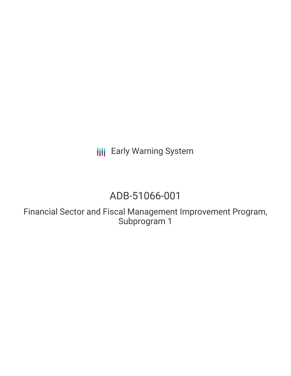**III** Early Warning System

# ADB-51066-001

Financial Sector and Fiscal Management Improvement Program, Subprogram 1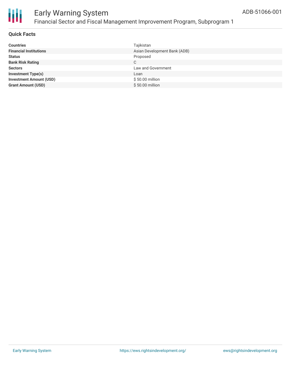

#### **Quick Facts**

| <b>Countries</b>               | Tajikistan                   |
|--------------------------------|------------------------------|
| <b>Financial Institutions</b>  | Asian Development Bank (ADB) |
| <b>Status</b>                  | Proposed                     |
| <b>Bank Risk Rating</b>        | C                            |
| <b>Sectors</b>                 | Law and Government           |
| <b>Investment Type(s)</b>      | Loan                         |
| <b>Investment Amount (USD)</b> | \$50.00 million              |
| <b>Grant Amount (USD)</b>      | \$50.00 million              |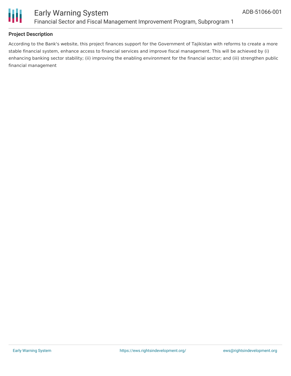

#### **Project Description**

According to the Bank's website, this project finances support for the Government of Tajikistan with reforms to create a more stable financial system, enhance access to financial services and improve fiscal management. This will be achieved by (i) enhancing banking sector stability; (ii) improving the enabling environment for the financial sector; and (iii) strengthen public financial management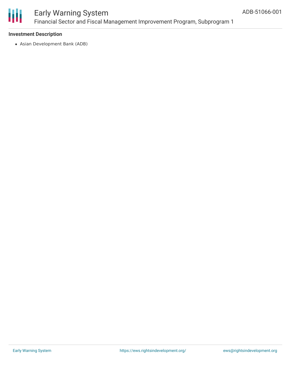

### Early Warning System Financial Sector and Fiscal Management Improvement Program, Subprogram 1

#### **Investment Description**

Asian Development Bank (ADB)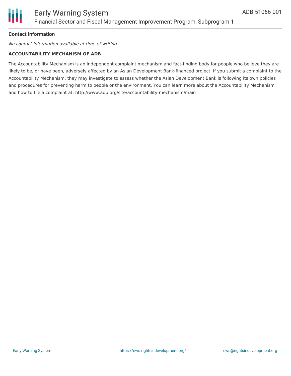#### **Contact Information**

No contact information available at time of writing.

#### **ACCOUNTABILITY MECHANISM OF ADB**

The Accountability Mechanism is an independent complaint mechanism and fact-finding body for people who believe they are likely to be, or have been, adversely affected by an Asian Development Bank-financed project. If you submit a complaint to the Accountability Mechanism, they may investigate to assess whether the Asian Development Bank is following its own policies and procedures for preventing harm to people or the environment. You can learn more about the Accountability Mechanism and how to file a complaint at: http://www.adb.org/site/accountability-mechanism/main